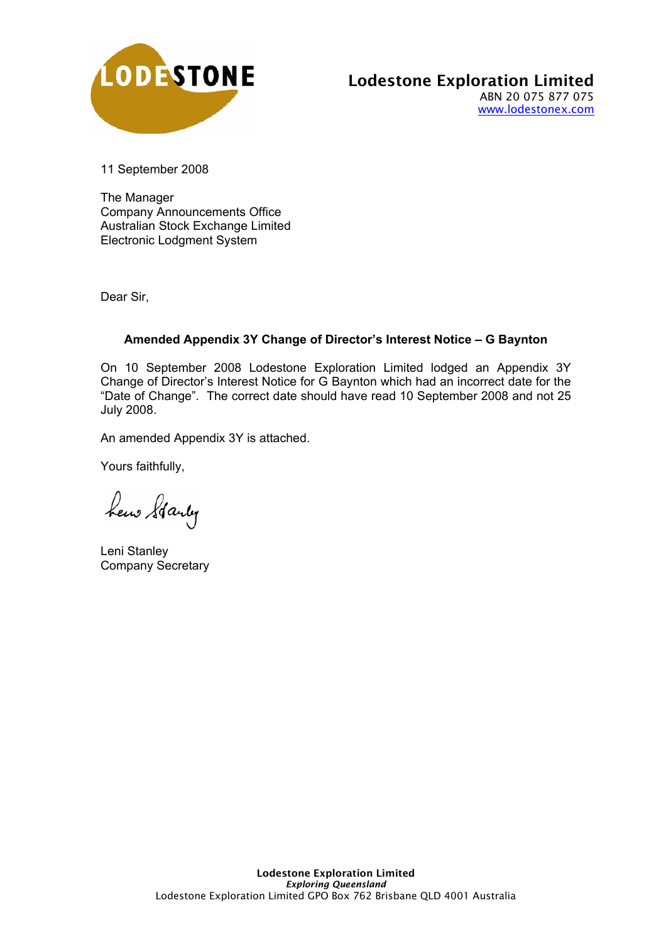

### Lodestone Exploration Limited ABN 20 075 877 075 www.lodestonex.com

11 September 2008

The Manager Company Announcements Office Australian Stock Exchange Limited Electronic Lodgment System

Dear Sir,

## **Amended Appendix 3Y Change of Director's Interest Notice – G Baynton**

On 10 September 2008 Lodestone Exploration Limited lodged an Appendix 3Y Change of Director's Interest Notice for G Baynton which had an incorrect date for the "Date of Change". The correct date should have read 10 September 2008 and not 25 July 2008.

An amended Appendix 3Y is attached.

Yours faithfully,

hew Starty

Leni Stanley Company Secretary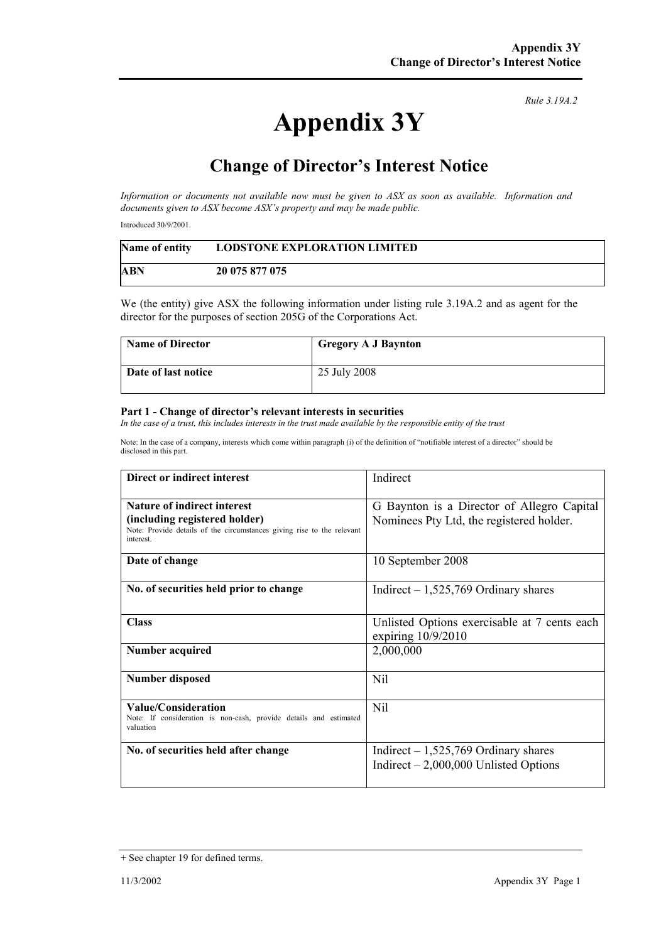# **Appendix 3Y**

*Rule 3.19A.2*

# **Change of Director's Interest Notice**

*Information or documents not available now must be given to ASX as soon as available. Information and documents given to ASX become ASX's property and may be made public.* 

Introduced 30/9/2001.

| Name of entity | <b>LODSTONE EXPLORATION LIMITED</b> |
|----------------|-------------------------------------|
| ABN            | 20 075 877 075                      |

We (the entity) give ASX the following information under listing rule 3.19A.2 and as agent for the director for the purposes of section 205G of the Corporations Act.

| Name of Director    | <b>Gregory A J Baynton</b> |
|---------------------|----------------------------|
| Date of last notice | 25 July 2008               |

#### **Part 1 - Change of director's relevant interests in securities**

In the case of a trust, this includes interests in the trust made available by the responsible entity of the trust

Note: In the case of a company, interests which come within paragraph (i) of the definition of "notifiable interest of a director" should be disclosed in this part.

| Direct or indirect interest                                                                                          | Indirect                                                                        |
|----------------------------------------------------------------------------------------------------------------------|---------------------------------------------------------------------------------|
| <b>Nature of indirect interest</b>                                                                                   | G Baynton is a Director of Allegro Capital                                      |
| (including registered holder)<br>Note: Provide details of the circumstances giving rise to the relevant<br>interest. | Nominees Pty Ltd, the registered holder.                                        |
| Date of change                                                                                                       | 10 September 2008                                                               |
| No. of securities held prior to change                                                                               | Indirect $-1,525,769$ Ordinary shares                                           |
| <b>Class</b>                                                                                                         | Unlisted Options exercisable at 7 cents each<br>expiring $10/9/2010$            |
| Number acquired                                                                                                      | 2,000,000                                                                       |
| <b>Number disposed</b>                                                                                               | Nil                                                                             |
| Value/Consideration<br>Note: If consideration is non-cash, provide details and estimated<br>valuation                | Nil                                                                             |
| No. of securities held after change                                                                                  | Indirect $-1,525,769$ Ordinary shares<br>Indirect $-2,000,000$ Unlisted Options |

<sup>+</sup> See chapter 19 for defined terms.